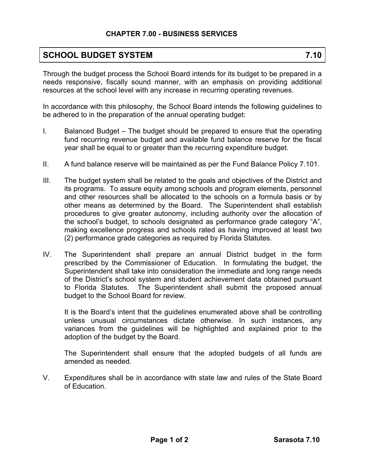## **CHAPTER 7.00 - BUSINESS SERVICES**

## **SCHOOL BUDGET SYSTEM 7.10**

Through the budget process the School Board intends for its budget to be prepared in a needs responsive, fiscally sound manner, with an emphasis on providing additional resources at the school level with any increase in recurring operating revenues.

In accordance with this philosophy, the School Board intends the following guidelines to be adhered to in the preparation of the annual operating budget:

- I. Balanced Budget The budget should be prepared to ensure that the operating fund recurring revenue budget and available fund balance reserve for the fiscal year shall be equal to or greater than the recurring expenditure budget.
- II. A fund balance reserve will be maintained as per the Fund Balance Policy 7.101.
- III. The budget system shall be related to the goals and objectives of the District and its programs. To assure equity among schools and program elements, personnel and other resources shall be allocated to the schools on a formula basis or by other means as determined by the Board. The Superintendent shall establish procedures to give greater autonomy, including authority over the allocation of the school's budget, to schools designated as performance grade category "A", making excellence progress and schools rated as having improved at least two (2) performance grade categories as required by Florida Statutes.
- IV. The Superintendent shall prepare an annual District budget in the form prescribed by the Commissioner of Education. In formulating the budget, the Superintendent shall take into consideration the immediate and long range needs of the District's school system and student achievement data obtained pursuant to Florida Statutes. The Superintendent shall submit the proposed annual budget to the School Board for review.

It is the Board's intent that the guidelines enumerated above shall be controlling unless unusual circumstances dictate otherwise. In such instances, any variances from the guidelines will be highlighted and explained prior to the adoption of the budget by the Board.

The Superintendent shall ensure that the adopted budgets of all funds are amended as needed.

V. Expenditures shall be in accordance with state law and rules of the State Board of Education.